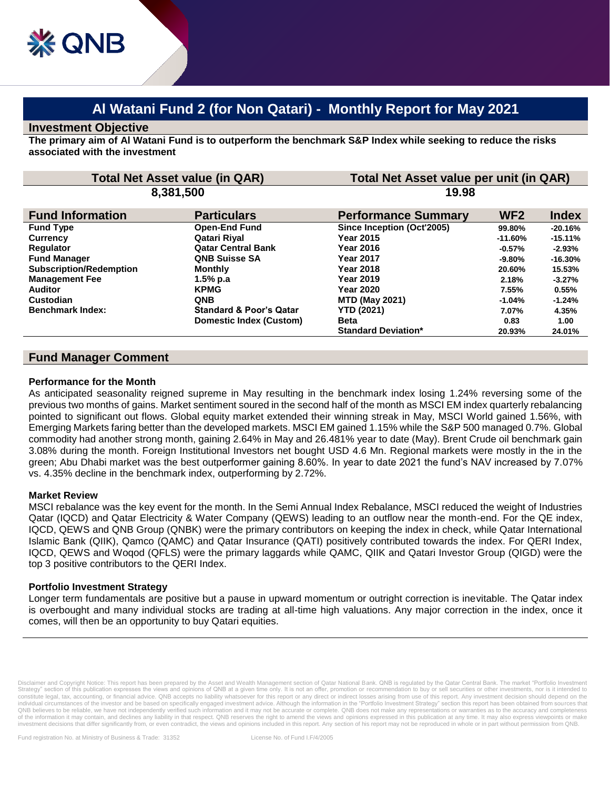# **Al Watani Fund 2 (for Non Qatari) - Monthly Report for May 2021**

#### **Investment Objective**

**The primary aim of Al Watani Fund is to outperform the benchmark S&P Index while seeking to reduce the risks associated with the investment**

| <b>Total Net Asset value (in QAR)</b> |                                    | Total Net Asset value per unit (in QAR) |                 |              |
|---------------------------------------|------------------------------------|-----------------------------------------|-----------------|--------------|
| 8,381,500                             |                                    | 19.98                                   |                 |              |
| <b>Fund Information</b>               | <b>Particulars</b>                 | <b>Performance Summary</b>              | WF <sub>2</sub> | <b>Index</b> |
| <b>Fund Type</b>                      | <b>Open-End Fund</b>               | Since Inception (Oct'2005)              | 99.80%          | $-20.16%$    |
| <b>Currency</b>                       | Qatari Riyal                       | <b>Year 2015</b>                        | $-11.60%$       | $-15.11%$    |
| Regulator                             | <b>Qatar Central Bank</b>          | <b>Year 2016</b>                        | $-0.57\%$       | $-2.93%$     |
| <b>Fund Manager</b>                   | <b>QNB Suisse SA</b>               | Year 2017                               | -9.80%          | $-16.30%$    |
| <b>Subscription/Redemption</b>        | <b>Monthly</b>                     | Year 2018                               | 20.60%          | 15.53%       |
| <b>Management Fee</b>                 | $1.5%$ p.a                         | <b>Year 2019</b>                        | 2.18%           | $-3.27%$     |
| <b>Auditor</b>                        | <b>KPMG</b>                        | Year 2020                               | 7.55%           | 0.55%        |
| Custodian                             | <b>QNB</b>                         | <b>MTD (May 2021)</b>                   | $-1.04\%$       | $-1.24%$     |
| <b>Benchmark Index:</b>               | <b>Standard &amp; Poor's Qatar</b> | <b>YTD (2021)</b>                       | 7.07%           | 4.35%        |
|                                       | Domestic Index (Custom)            | <b>Beta</b>                             | 0.83            | 1.00         |
|                                       |                                    | <b>Standard Deviation*</b>              | 20.93%          | 24.01%       |

# **Fund Manager Comment**

#### **Performance for the Month**

As anticipated seasonality reigned supreme in May resulting in the benchmark index losing 1.24% reversing some of the previous two months of gains. Market sentiment soured in the second half of the month as MSCI EM index quarterly rebalancing pointed to significant out flows. Global equity market extended their winning streak in May, MSCI World gained 1.56%, with Emerging Markets faring better than the developed markets. MSCI EM gained 1.15% while the S&P 500 managed 0.7%. Global commodity had another strong month, gaining 2.64% in May and 26.481% year to date (May). Brent Crude oil benchmark gain 3.08% during the month. Foreign Institutional Investors net bought USD 4.6 Mn. Regional markets were mostly in the in the green; Abu Dhabi market was the best outperformer gaining 8.60%. In year to date 2021 the fund's NAV increased by 7.07% vs. 4.35% decline in the benchmark index, outperforming by 2.72%.

## **Market Review**

MSCI rebalance was the key event for the month. In the Semi Annual Index Rebalance, MSCI reduced the weight of Industries Qatar (IQCD) and Qatar Electricity & Water Company (QEWS) leading to an outflow near the month-end. For the QE index, IQCD, QEWS and QNB Group (QNBK) were the primary contributors on keeping the index in check, while Qatar International Islamic Bank (QIIK), Qamco (QAMC) and Qatar Insurance (QATI) positively contributed towards the index. For QERI Index, IQCD, QEWS and Woqod (QFLS) were the primary laggards while QAMC, QIIK and Qatari Investor Group (QIGD) were the top 3 positive contributors to the QERI Index.

## **Portfolio Investment Strategy**

Longer term fundamentals are positive but a pause in upward momentum or outright correction is inevitable. The Qatar index is overbought and many individual stocks are trading at all-time high valuations. Any major correction in the index, once it comes, will then be an opportunity to buy Qatari equities.

Disclaimer and Copyright Notice: This report has been prepared by the Asset and Wealth Management section of Qatar National Bank. QNB is regulated by the Qatar Central Bank. The market "Portfolio Investment Strategy" section of this publication expresses the views and opinions of QNB at a given time only. It is not an offer, promotion or recommendation to buy or sell securities or other investments, nor is it intended to<br>cons individual circumstances of the investor and be based on specifically engaged investment advice. Although the information in the "Portfolio Investment Strategy" section this report has been obtained from sources that<br>QNB b of the information it may contain, and declines any liability in that respect. QNB reserves the right to amend the views and opinions expressed in this publication at any time. It may also express viewpoints or make investment decisions that differ significantly from, or even contradict, the views and opinions included in this report. Any section of his report may not be reproduced in whole or in part without permission from QNB.